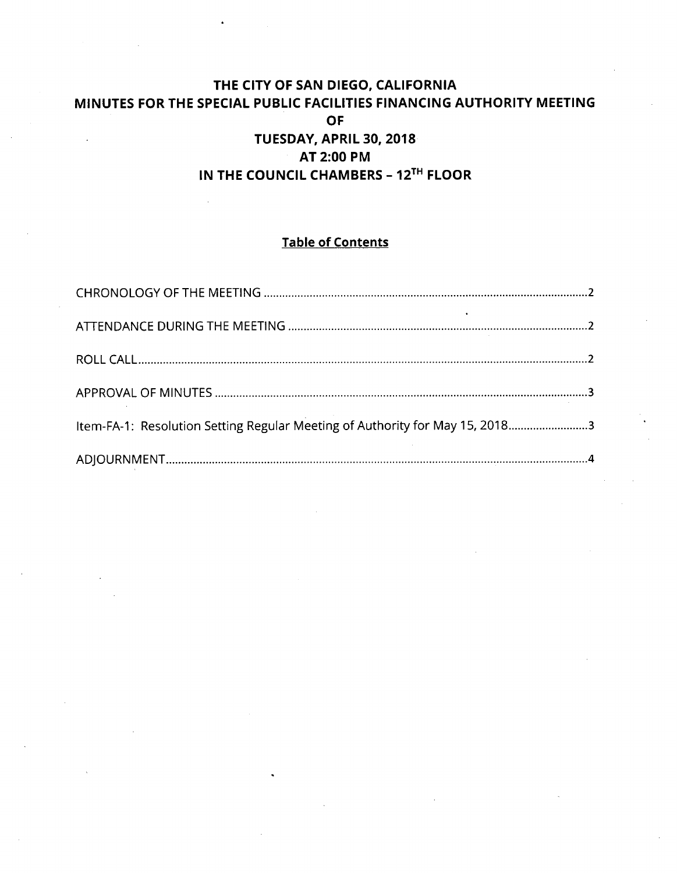# **THE CITY OF SAN DIEGO, CALIFORNIA MINUTES FOR THE SPECIAL PUBLIC FACILITIES FINANCING AUTHORITY MEETING OF TUESDAY, APRIL 30. 2018 AT 2:00 PM IN THE COUNCIL CHAMBERS - 12^^^ FLOOR**

# **Table of Contents**

| Item-FA-1: Resolution Setting Regular Meeting of Authority for May 15, 20183 |  |
|------------------------------------------------------------------------------|--|
|                                                                              |  |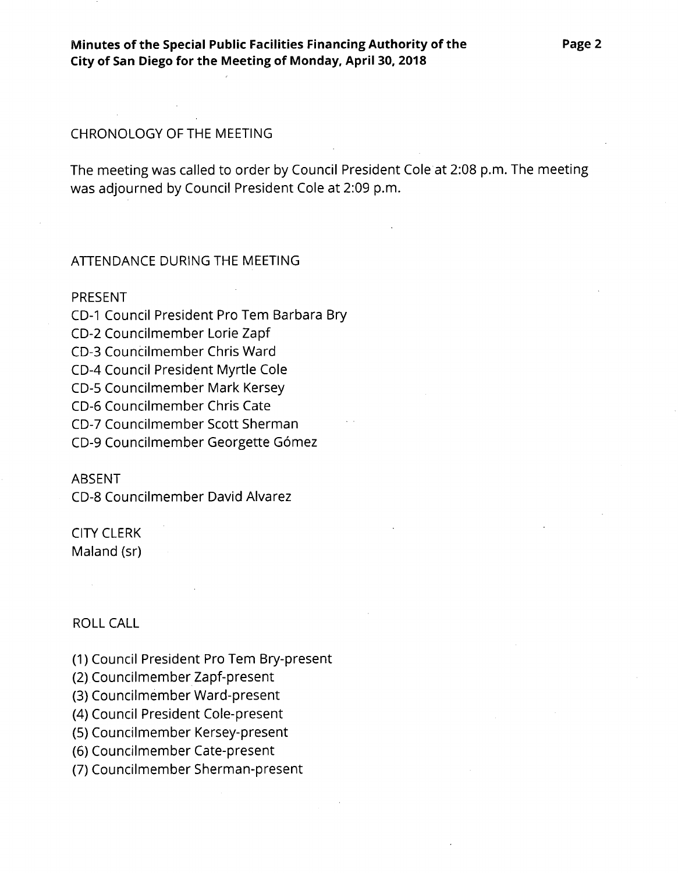#### CHRONOLOGY OF THE MEETING

The meeting was called to order by Council President Cole at 2:08 p.m. The meeting was adjourned by Council President Cole at 2:09 p.m.

#### ATTENDANCE DURING THE MEETING

#### PRESENT

CD-1 Council President Pro Tem Barbara Bry CD-2 Councilmember Lorie Zapf CD-3 Councilmember Chris Ward CD-4 Council President Myrtle Cole CD-5 Councilmember Mark Kersey CD-6 Councilmember Chris Cate CD-7 Councilmember Scott Sherman CD-9 Councilmember Georgette Gómez

#### ABSENT

CD-8 Councilmember David Alvarez

# CITY CLERK

Maland (sr)

### ROLL CALL

(1) Council President Pro Tern Bry-present

(2) Councilmember Zapf-present

(3) Councilmember Ward-present

(4) Council President Cole-present

(5) Councilmember Kersey-present

(6) Councilmember Cate-present

(7) Councilmember Sherman-present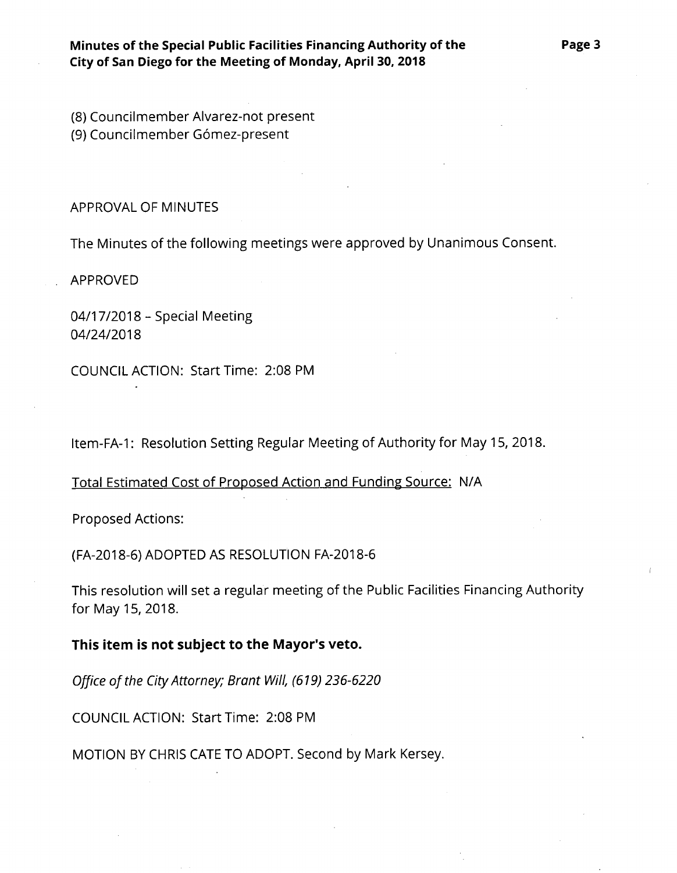(8) Councilmember Alvarez-not present (9) Councilmember Gómez-present

APPROVAL OF MINUTES

The Minutes of the following meetings were approved by Unanimous Consent.

APPROVED

04/17/2018 - Special Meeting 04/24/2018

COUNCIL ACTION: Start Time: 2:08 PM

ltem-FA-1: Resolution Setting Regular Meeting of Authority for May 15, 2018.

Total Estimated Cost of Proposed Action and Funding Source: N/A

Proposed Actions:

(FA-2018-6) ADOPTED AS RESOLUTION FA-2018-6

This resolution will set a regular meeting of the Public Facilities Financing Authority for May 15, 2018.

**This item is not subject to the Mayor's veto.**

Office of the City Attorney; Brant Will, (619) 236-6220

COUNCIL ACTION: Start Time: 2:08 PM

MOTION BY CHRIS CATE TO ADOPT. Second by Mark Kersey.